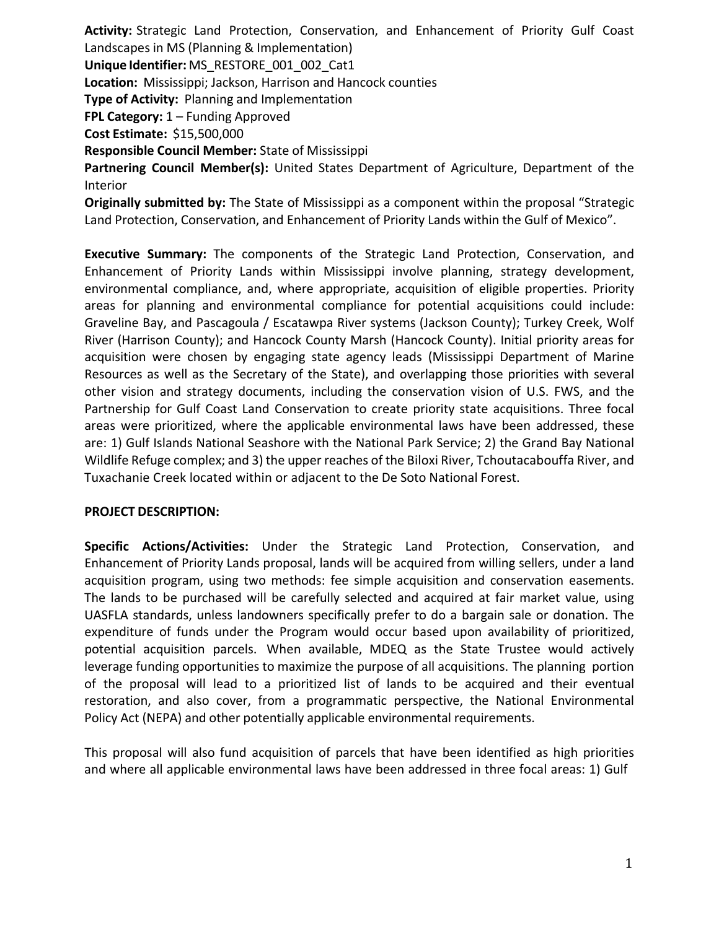**Activity:** Strategic Land Protection, Conservation, and Enhancement of Priority Gulf Coast Landscapes in MS (Planning & Implementation) **Unique Identifier:** MS\_RESTORE\_001\_002\_Cat1 **Location:** Mississippi; Jackson, Harrison and Hancock counties **Type of Activity:** Planning and Implementation **FPL Category:** 1 – Funding Approved **Cost Estimate:** \$15,500,000 **Responsible Council Member:** State of Mississippi **Partnering Council Member(s):** United States Department of Agriculture, Department of the Interior

**Originally submitted by:** The State of Mississippi as a component within the proposal "Strategic Land Protection, Conservation, and Enhancement of Priority Lands within the Gulf of Mexico".

**Executive Summary:** The components of the Strategic Land Protection, Conservation, and Enhancement of Priority Lands within Mississippi involve planning, strategy development, environmental compliance, and, where appropriate, acquisition of eligible properties. Priority areas for planning and environmental compliance for potential acquisitions could include: Graveline Bay, and Pascagoula / Escatawpa River systems (Jackson County); Turkey Creek, Wolf River (Harrison County); and Hancock County Marsh (Hancock County). Initial priority areas for acquisition were chosen by engaging state agency leads (Mississippi Department of Marine Resources as well as the Secretary of the State), and overlapping those priorities with several other vision and strategy documents, including the conservation vision of U.S. FWS, and the Partnership for Gulf Coast Land Conservation to create priority state acquisitions. Three focal areas were prioritized, where the applicable environmental laws have been addressed, these are: 1) Gulf Islands National Seashore with the National Park Service; 2) the Grand Bay National Wildlife Refuge complex; and 3) the upper reaches of the Biloxi River, Tchoutacabouffa River, and Tuxachanie Creek located within or adjacent to the De Soto National Forest.

## **PROJECT DESCRIPTION:**

**Specific Actions/Activities:** Under the Strategic Land Protection, Conservation, and Enhancement of Priority Lands proposal, lands will be acquired from willing sellers, under a land acquisition program, using two methods: fee simple acquisition and conservation easements. The lands to be purchased will be carefully selected and acquired at fair market value, using UASFLA standards, unless landowners specifically prefer to do a bargain sale or donation. The expenditure of funds under the Program would occur based upon availability of prioritized, potential acquisition parcels. When available, MDEQ as the State Trustee would actively leverage funding opportunities to maximize the purpose of all acquisitions. The planning portion of the proposal will lead to a prioritized list of lands to be acquired and their eventual restoration, and also cover, from a programmatic perspective, the National Environmental Policy Act (NEPA) and other potentially applicable environmental requirements.

This proposal will also fund acquisition of parcels that have been identified as high priorities and where all applicable environmental laws have been addressed in three focal areas: 1) Gulf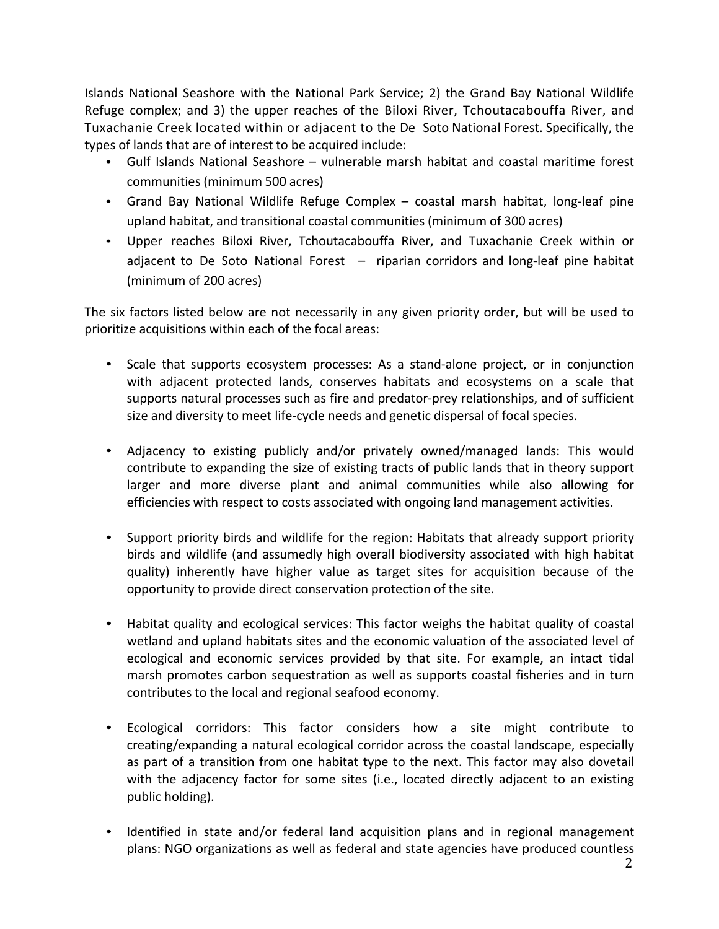Islands National Seashore with the National Park Service; 2) the Grand Bay National Wildlife Refuge complex; and 3) the upper reaches of the Biloxi River, Tchoutacabouffa River, and Tuxachanie Creek located within or adjacent to the De Soto National Forest. Specifically, the types of lands that are of interest to be acquired include:

- Gulf Islands National Seashore vulnerable marsh habitat and coastal maritime forest communities (minimum 500 acres)
- Grand Bay National Wildlife Refuge Complex coastal marsh habitat, long-leaf pine upland habitat, and transitional coastal communities (minimum of 300 acres)
- Upper reaches Biloxi River, Tchoutacabouffa River, and Tuxachanie Creek within or adjacent to De Soto National Forest – riparian corridors and long-leaf pine habitat (minimum of 200 acres)

The six factors listed below are not necessarily in any given priority order, but will be used to prioritize acquisitions within each of the focal areas:

- Scale that supports ecosystem processes: As a stand-alone project, or in conjunction with adjacent protected lands, conserves habitats and ecosystems on a scale that supports natural processes such as fire and predator-prey relationships, and of sufficient size and diversity to meet life-cycle needs and genetic dispersal of focal species.
- Adjacency to existing publicly and/or privately owned/managed lands: This would contribute to expanding the size of existing tracts of public lands that in theory support larger and more diverse plant and animal communities while also allowing for efficiencies with respect to costs associated with ongoing land management activities.
- Support priority birds and wildlife for the region: Habitats that already support priority birds and wildlife (and assumedly high overall biodiversity associated with high habitat quality) inherently have higher value as target sites for acquisition because of the opportunity to provide direct conservation protection of the site.
- Habitat quality and ecological services: This factor weighs the habitat quality of coastal wetland and upland habitats sites and the economic valuation of the associated level of ecological and economic services provided by that site. For example, an intact tidal marsh promotes carbon sequestration as well as supports coastal fisheries and in turn contributes to the local and regional seafood economy.
- Ecological corridors: This factor considers how a site might contribute to creating/expanding a natural ecological corridor across the coastal landscape, especially as part of a transition from one habitat type to the next. This factor may also dovetail with the adjacency factor for some sites (i.e., located directly adjacent to an existing public holding).
- Identified in state and/or federal land acquisition plans and in regional management plans: NGO organizations as well as federal and state agencies have produced countless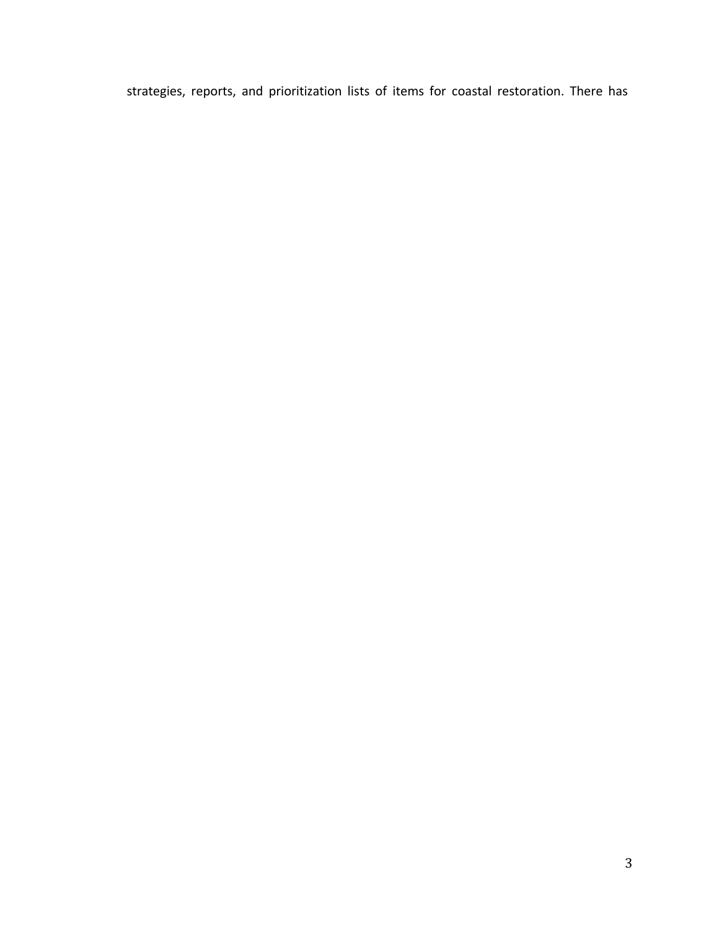strategies, reports, and prioritization lists of items for coastal restoration. There has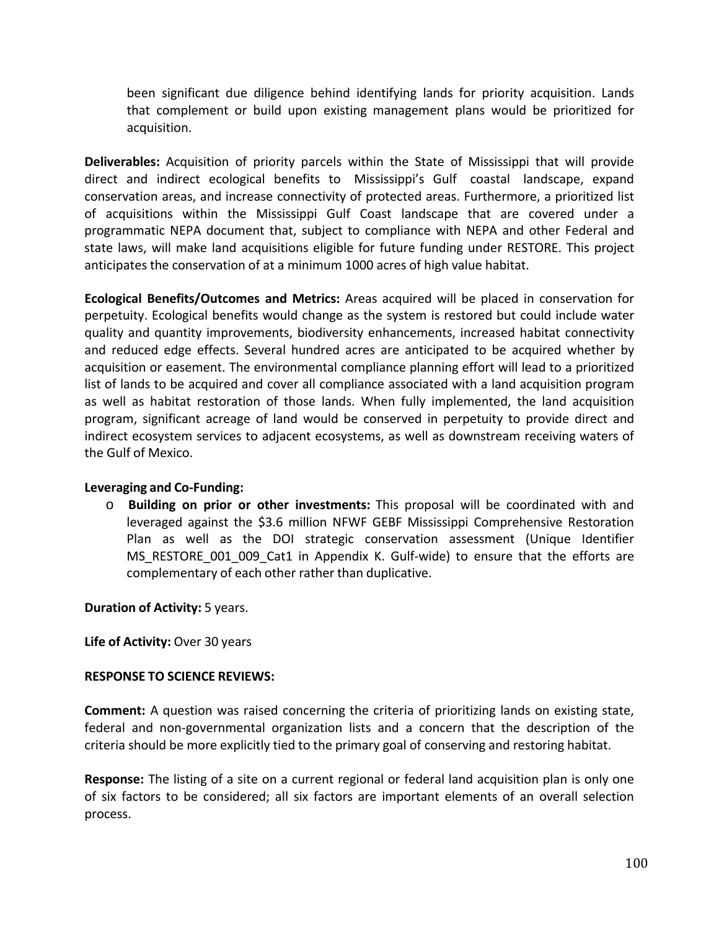been significant due diligence behind identifying lands for priority acquisition. Lands that complement or build upon existing management plans would be prioritized for acquisition.

**Deliverables:** Acquisition of priority parcels within the State of Mississippi that will provide direct and indirect ecological benefits to Mississippi's Gulf coastal landscape, expand conservation areas, and increase connectivity of protected areas. Furthermore, a prioritized list of acquisitions within the Mississippi Gulf Coast landscape that are covered under a programmatic NEPA document that, subject to compliance with NEPA and other Federal and state laws, will make land acquisitions eligible for future funding under RESTORE. This project anticipates the conservation of at a minimum 1000 acres of high value habitat.

**Ecological Benefits/Outcomes and Metrics:** Areas acquired will be placed in conservation for perpetuity. Ecological benefits would change as the system is restored but could include water quality and quantity improvements, biodiversity enhancements, increased habitat connectivity and reduced edge effects. Several hundred acres are anticipated to be acquired whether by acquisition or easement. The environmental compliance planning effort will lead to a prioritized list of lands to be acquired and cover all compliance associated with a land acquisition program as well as habitat restoration of those lands. When fully implemented, the land acquisition program, significant acreage of land would be conserved in perpetuity to provide direct and indirect ecosystem services to adjacent ecosystems, as well as downstream receiving waters of the Gulf of Mexico.

## **Leveraging and Co-Funding:**

o **Building on prior or other investments:** This proposal will be coordinated with and leveraged against the \$3.6 million NFWF GEBF Mississippi Comprehensive Restoration Plan as well as the DOI strategic conservation assessment (Unique Identifier MS\_RESTORE\_001\_009\_Cat1 in Appendix K. Gulf-wide) to ensure that the efforts are complementary of each other rather than duplicative.

**Duration of Activity:** 5 years.

**Life of Activity:** Over 30 years

## **RESPONSE TO SCIENCE REVIEWS:**

**Comment:** A question was raised concerning the criteria of prioritizing lands on existing state, federal and non-governmental organization lists and a concern that the description of the criteria should be more explicitly tied to the primary goal of conserving and restoring habitat.

**Response:** The listing of a site on a current regional or federal land acquisition plan is only one of six factors to be considered; all six factors are important elements of an overall selection process.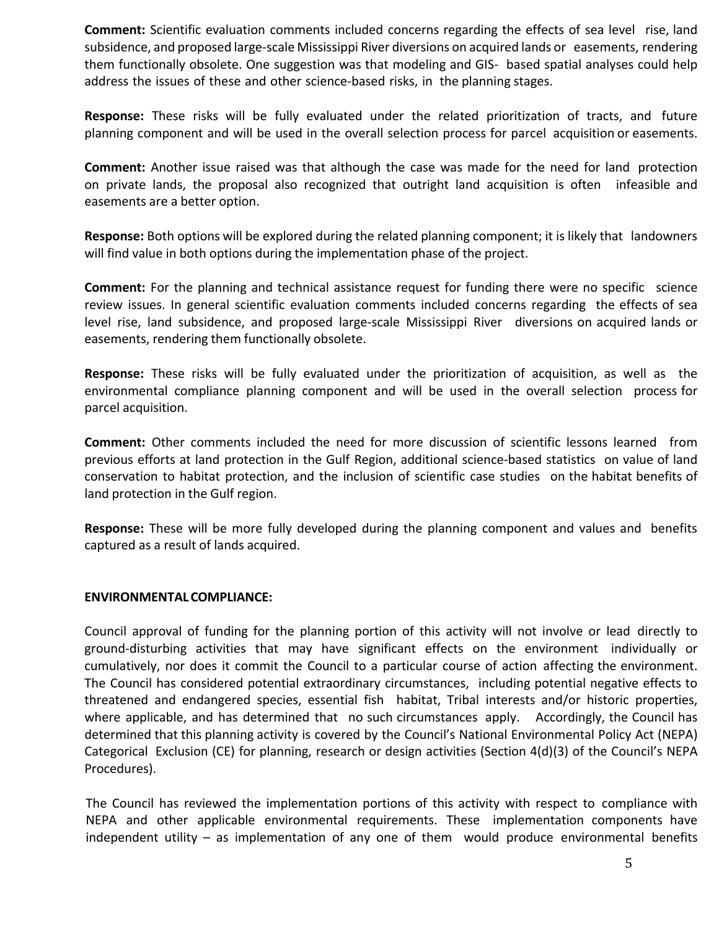**Comment:** Scientific evaluation comments included concerns regarding the effects of sea level rise, land subsidence, and proposed large-scale Mississippi River diversions on acquired lands or easements, rendering them functionally obsolete. One suggestion was that modeling and GIS- based spatial analyses could help address the issues of these and other science-based risks, in the planning stages.

**Response:** These risks will be fully evaluated under the related prioritization of tracts, and future planning component and will be used in the overall selection process for parcel acquisition or easements.

**Comment:** Another issue raised was that although the case was made for the need for land protection on private lands, the proposal also recognized that outright land acquisition is often infeasible and easements are a better option.

**Response:** Both options will be explored during the related planning component; it is likely that landowners will find value in both options during the implementation phase of the project.

**Comment:** For the planning and technical assistance request for funding there were no specific science review issues. In general scientific evaluation comments included concerns regarding the effects of sea level rise, land subsidence, and proposed large-scale Mississippi River diversions on acquired lands or easements, rendering them functionally obsolete.

**Response:** These risks will be fully evaluated under the prioritization of acquisition, as well as the environmental compliance planning component and will be used in the overall selection process for parcel acquisition.

**Comment:** Other comments included the need for more discussion of scientific lessons learned from previous efforts at land protection in the Gulf Region, additional science-based statistics on value of land conservation to habitat protection, and the inclusion of scientific case studies on the habitat benefits of land protection in the Gulf region.

**Response:** These will be more fully developed during the planning component and values and benefits captured as a result of lands acquired.

## **ENVIRONMENTALCOMPLIANCE:**

Council approval of funding for the planning portion of this activity will not involve or lead directly to ground-disturbing activities that may have significant effects on the environment individually or cumulatively, nor does it commit the Council to a particular course of action affecting the environment. The Council has considered potential extraordinary circumstances, including potential negative effects to threatened and endangered species, essential fish habitat, Tribal interests and/or historic properties, where applicable, and has determined that no such circumstances apply. Accordingly, the Council has determined that this planning activity is covered by the Council's National Environmental Policy Act (NEPA) Categorical Exclusion (CE) for planning, research or design activities (Section 4(d)(3) of the Council's NEPA Procedures).

The Council has reviewed the implementation portions of this activity with respect to compliance with NEPA and other applicable environmental requirements. These implementation components have independent utility – as implementation of any one of them would produce environmental benefits